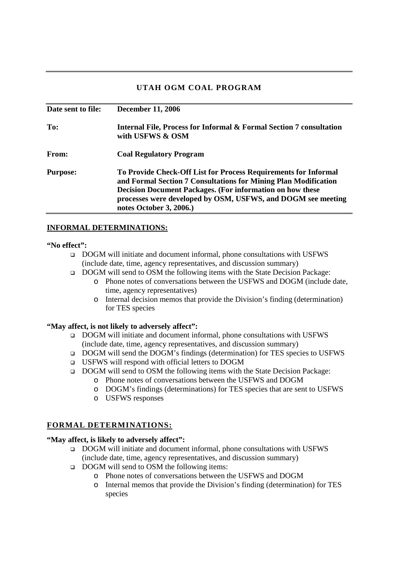# **UTAH OGM COAL PROGRAM**

| Date sent to file: | <b>December 11, 2006</b>                                                                                                                                                                                                                                                                          |
|--------------------|---------------------------------------------------------------------------------------------------------------------------------------------------------------------------------------------------------------------------------------------------------------------------------------------------|
| To:                | <b>Internal File, Process for Informal &amp; Formal Section 7 consultation</b><br>with USFWS & OSM                                                                                                                                                                                                |
| From:              | <b>Coal Regulatory Program</b>                                                                                                                                                                                                                                                                    |
| <b>Purpose:</b>    | To Provide Check-Off List for Process Requirements for Informal<br>and Formal Section 7 Consultations for Mining Plan Modification<br><b>Decision Document Packages. (For information on how these</b><br>processes were developed by OSM, USFWS, and DOGM see meeting<br>notes October 3, 2006.) |

## **INFORMAL DETERMINATIONS:**

#### **"No effect":**

- DOGM will initiate and document informal, phone consultations with USFWS (include date, time, agency representatives, and discussion summary)
- □ DOGM will send to OSM the following items with the State Decision Package:
	- o Phone notes of conversations between the USFWS and DOGM (include date, time, agency representatives)
	- o Internal decision memos that provide the Division's finding (determination) for TES species

### **"May affect, is not likely to adversely affect":**

- DOGM will initiate and document informal, phone consultations with USFWS (include date, time, agency representatives, and discussion summary)
- DOGM will send the DOGM's findings (determination) for TES species to USFWS
- USFWS will respond with official letters to DOGM
- DOGM will send to OSM the following items with the State Decision Package:
	- o Phone notes of conversations between the USFWS and DOGM
	- o DOGM's findings (determinations) for TES species that are sent to USFWS
	- o USFWS responses

## **FORMAL DETERMINATIONS:**

### **"May affect, is likely to adversely affect":**

- DOGM will initiate and document informal, phone consultations with USFWS (include date, time, agency representatives, and discussion summary)
- DOGM will send to OSM the following items:
	- o Phone notes of conversations between the USFWS and DOGM
	- o Internal memos that provide the Division's finding (determination) for TES species